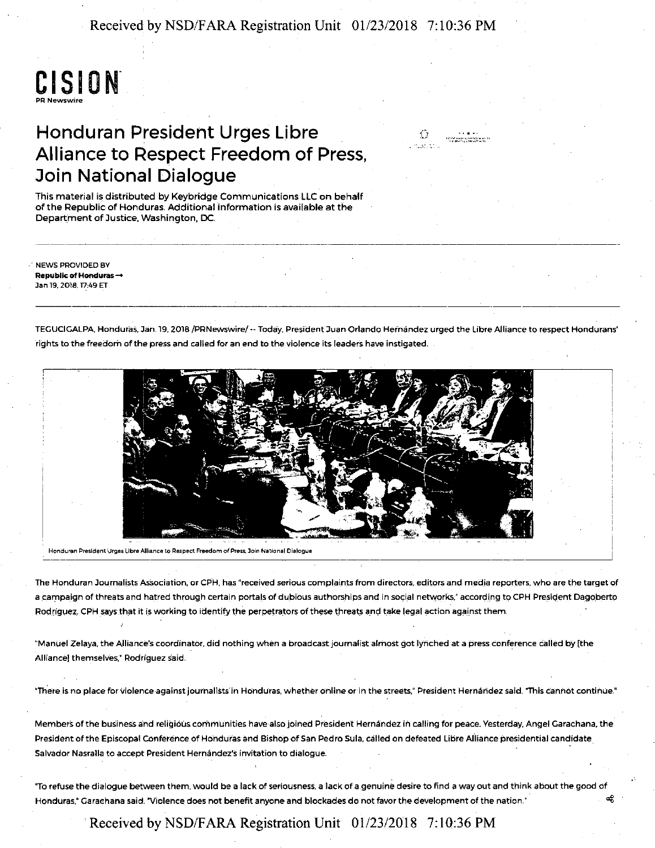Received by NSD/FARA Registration Unit 01/23/2018 7:10:36 PM

# **CISION** PA Newswire

## Honduran President Urges Libre Alliance to Respect Freedom of Press, Join National Dialogue

This material is distributed by Keybridge Communications LLC on behalf of the Republic of Honduras. Additional information is available at the Department of Justice, Washington, DC.

NEWS PROVIDED BY Republic of Honduras-Jan 19, 2018. 17:49 ET

TEGUCIGALPA, Honduras. Jan. 79, 2018 /PRNewswire/ -- Today. President Juan Orlando Hernandez urged the Libre Alliance to respect Hondurans' rights to the freedom of the press and called for an end to the violence its leaders have instigated.

""""··•·•·""'•>••'·'• ....... '"'""·"-'"



Honduran President Urges Libre Alliance to Respect Freedom of Press, Join National Dialogue

The Honduran Journalists Association, or CPH, has "received serious complaints from directors, editors and media reporters, who are the target of a campaign of threats and hatred through certain portals of dubious authorships and in social networks," according to CPH President Dagoberto Rodriguez. CPH says that it is working to identify the perpetrators of these threats and take legal action against them.

"Manuel Zelaya, the Alliance's coordinator, did nothing when a broadcast journalist almost got lynched at a press conference called by [the Alliance] themselves.<sup>\*</sup> Rodríguez said.

'There is no place for violence against journalists in Honduras, whether online or in the streets," President Hernandez said. "This cannot continue."

Members of the business and reliQi6Us communities have-also joined President Hernandez in calling for peace. Yesterday, Angel Garachana. the President of the Episcopal Conference of Honduras and Bishop of San Pedro Sula, called on defeated Libre Alliance presidential candidate Salvador Nasralla to accept President Hernandez'S invitation to dialogue.

"To refuse the dialogue between them, would be a lack of seriousness, a lack of a genuine desire to find a way out and think about the good of Honduras," Garachana said. "Violence does not benefit anyone and blockades do not favor the development of the nation.'  $\frac{1}{2}$ 

Received by NSD/FARA Registration Unit 01/23/2018 7:10:36 PM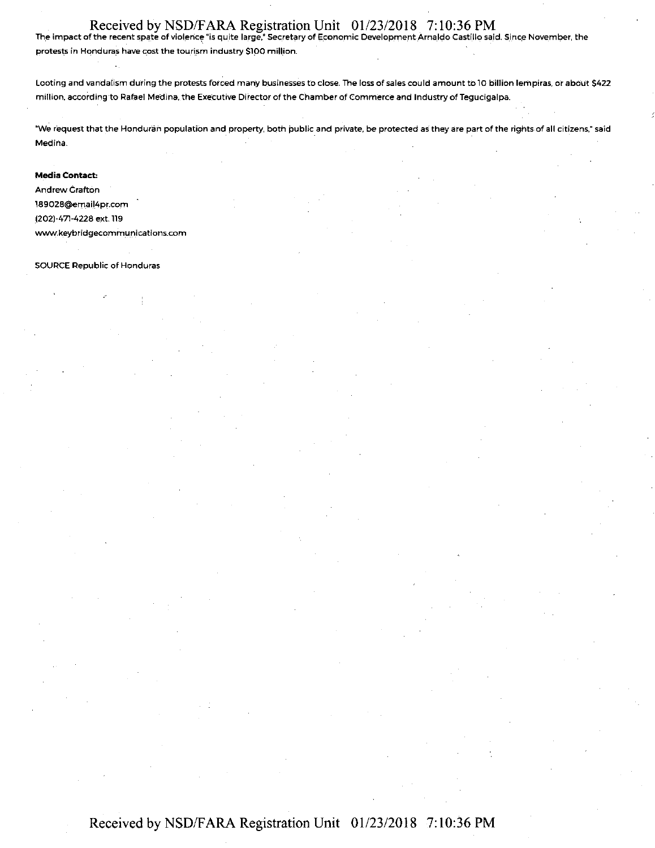### Received by NSD/F ARA Registration Unit 01/23/2018 7: 10:36 PM

The impact of the recent spate of violence "is quite large," Secretary of Economic Development Arnaldo Castillo said. Since November, the protests in Honduras have cost the tourism industry \$100 million.

Looting and vandalism during the protests forced many businesses to close. The loss of sales could amount to 10 billion letnpiras. or about \$422 million, according to Rafael Medina, the Executive Director of the Chamber of Commerce and Industry of Tegucigalpa.

"We request that the Honduran population and property, both public and private, be protected as they are part of the rights of all citizens," said Medina.

#### **Media Contact:**

**Andrew Crafton** 18902B@em\_ail4pr.com (202)-471-4228 ext. 119 www.keybridgecommunications.com

SOURCE Republic of Honduras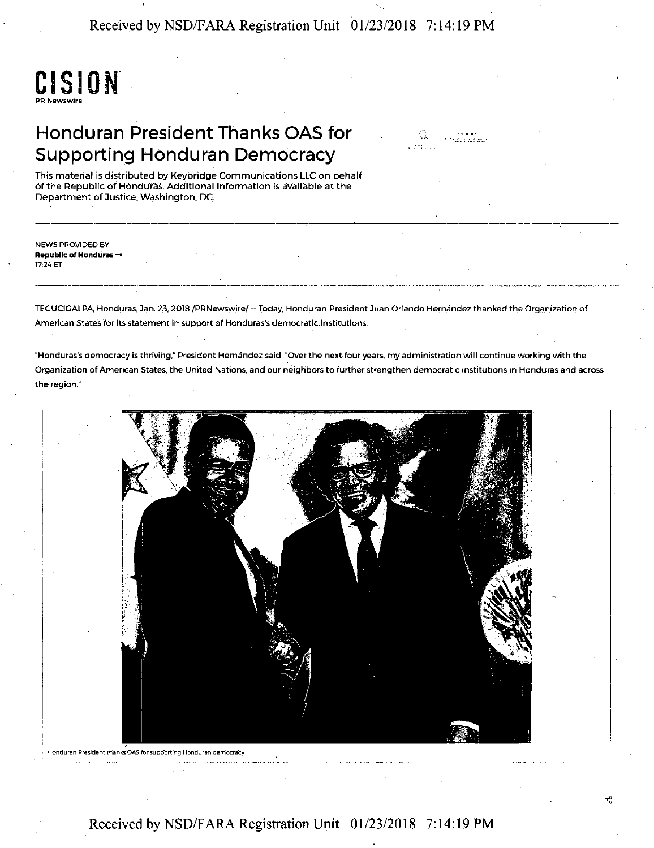Received by NSD/FARA Registration Unit 01/23/2018 7: 14: 19 PM



# Honduran President Thanks OAS for Supporting Honduran Democracy

æ

This material is distributed by Keybridge Communications LLC on behalf of the Republic of Honduras. Additional information is available at the Department of Justice, Washington, DC.

NEWS PROVIDED BY **Republic of Honduras** - 1724 ET

TEGUCIGALPA, Honduras, Jan. 23, 2018 /PRNewswire/--Today, Honduran President Juan Orlando Hernández thanked the Organization of American States for its statement in support of Honduras's democratic.institutions.

"Honduras's democracy is thriving," President Hernandez said. "OVer the next four years, my administration will continue working with the Organization of Ameritan States, the United Nations, and our neighbors to fu'rther strengthen democratic institutions in Honduras and across the region."



Honduran President thanks OAS for supporting Honduran democracy